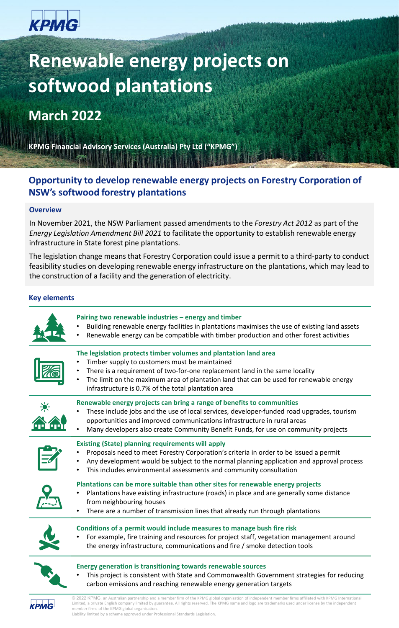# крмG

## **Renewable energy projects on softwood plantations**

## **March 2022**

**KPMG Financial Advisory Services (Australia) Pty Ltd ("KPMG")**

## **Opportunity to develop renewable energy projects on Forestry Corporation of NSW's softwood forestry plantations**

## **Overview**

In November 2021, the NSW Parliament passed amendments to the *Forestry Act 2012* as part of the *Energy Legislation Amendment Bill 2021* to facilitate the opportunity to establish renewable energy infrastructure in State forest pine plantations.

The legislation change means that Forestry Corporation could issue a permit to a third-party to conduct feasibility studies on developing renewable energy infrastructure on the plantations, which may lead to the construction of a facility and the generation of electricity.

## **Key elements**

| Pairing two renewable industries - energy and timber<br>Building renewable energy facilities in plantations maximises the use of existing land assets<br>Renewable energy can be compatible with timber production and other forest activities                                                                                                    |
|---------------------------------------------------------------------------------------------------------------------------------------------------------------------------------------------------------------------------------------------------------------------------------------------------------------------------------------------------|
| The legislation protects timber volumes and plantation land area<br>Timber supply to customers must be maintained<br>There is a requirement of two-for-one replacement land in the same locality<br>The limit on the maximum area of plantation land that can be used for renewable energy<br>infrastructure is 0.7% of the total plantation area |
| Renewable energy projects can bring a range of benefits to communities<br>These include jobs and the use of local services, developer-funded road upgrades, tourism<br>opportunities and improved communications infrastructure in rural areas<br>Many developers also create Community Benefit Funds, for use on community projects              |
| <b>Existing (State) planning requirements will apply</b><br>Proposals need to meet Forestry Corporation's criteria in order to be issued a permit<br>Any development would be subject to the normal planning application and approval process<br>This includes environmental assessments and community consultation                               |
| Plantations can be more suitable than other sites for renewable energy projects<br>Plantations have existing infrastructure (roads) in place and are generally some distance<br>from neighbouring houses<br>There are a number of transmission lines that already run through plantations                                                         |
| Conditions of a permit would include measures to manage bush fire risk<br>For example, fire training and resources for project staff, vegetation management around<br>the energy infrastructure, communications and fire / smoke detection tools                                                                                                  |
| <b>Energy generation is transitioning towards renewable sources</b><br>This project is consistent with State and Commonwealth Government strategies for reducing<br>carbon emissions and reaching renewable energy generation targets                                                                                                             |
| © 2022 KPMG, an Australian partnership and a member firm of the KPMG global organisation of independent member firms affiliated with KPMG International                                                                                                                                                                                           |